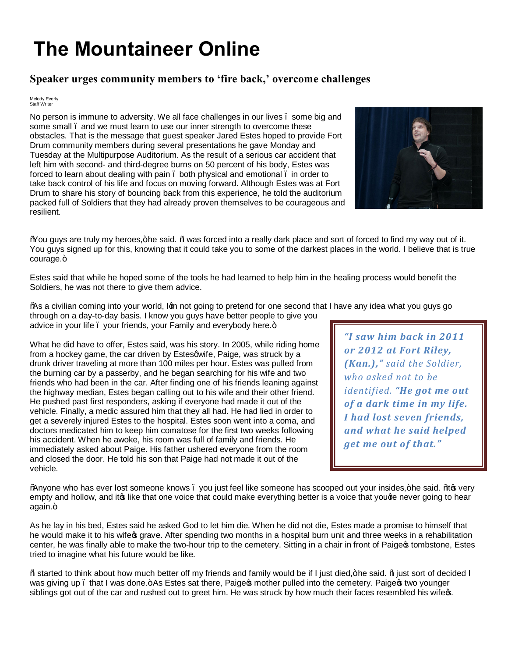## **The Mountaineer Online**

## **Speaker urges community members to 'fire back,' overcome challenges**

## Melody Everly Staff Writer

No person is immune to adversity. We all face challenges in our lives – some big and some small – and we must learn to use our inner strength to overcome these obstacles. That is the message that guest speaker Jared Estes hoped to provide Fort Drum community members during several presentations he gave Monday and Tuesday at the Multipurpose Auditorium. As the result of a serious car accident that left him with second- and third-degree burns on 50 percent of his body, Estes was forced to learn about dealing with pain . both physical and emotional . in order to take back control of his life and focus on moving forward. Although Estes was at Fort Drum to share his story of bouncing back from this experience, he told the auditorium packed full of Soldiers that they had already proven themselves to be courageous and resilient.



"You guys are truly my heroes," he said. "I was forced into a really dark place and sort of forced to find my way out of it. You guys signed up for this, knowing that it could take you to some of the darkest places in the world. I believe that is true courage.+

Estes said that while he hoped some of the tools he had learned to help him in the healing process would benefit the Soldiers, he was not there to give them advice.

% a civilian coming into your world, Ign not going to pretend for one second that I have any idea what you guys go

through on a day-to-day basis. I know you guys have better people to give you advice in your life . your friends, your Family and everybody here.+

What he did have to offer, Estes said, was his story. In 2005, while riding home from a hockey game, the car driven by Estesqwife, Paige, was struck by a drunk driver traveling at more than 100 miles per hour. Estes was pulled from the burning car by a passerby, and he began searching for his wife and two friends who had been in the car. After finding one of his friends leaning against the highway median, Estes began calling out to his wife and their other friend. He pushed past first responders, asking if everyone had made it out of the vehicle. Finally, a medic assured him that they all had. He had lied in order to get a severely injured Estes to the hospital. Estes soon went into a coma, and doctors medicated him to keep him comatose for the first two weeks following his accident. When he awoke, his room was full of family and friends. He immediately asked about Paige. His father ushered everyone from the room and closed the door. He told his son that Paige had not made it out of the vehicle.

*"I saw him back in 2011 or 2012 at Fort Riley, (Kan.)," said the Soldier, who asked not to be identified. "He got me out of a dark time in my life. I had lost seven friends, and what he said helped get me out of that."*

% hyone who has ever lost someone knows . you just feel like someone has scooped out your insides,+he said. % to very empty and hollow, and it the that one voice that could make everything better is a voice that you're never going to hear again.+

As he lay in his bed, Estes said he asked God to let him die. When he did not die, Estes made a promise to himself that he would make it to his wife og grave. After spending two months in a hospital burn unit and three weeks in a rehabilitation center, he was finally able to make the two-hour trip to the cemetery. Sitting in a chair in front of Paige tombstone, Estes tried to imagine what his future would be like.

% tarted to think about how much better off my friends and family would be if I just died, +he said. % list sort of decided I was giving up. that I was done.+As Estes sat there, Paige  $\phi$  mother pulled into the cemetery. Paige two younger siblings got out of the car and rushed out to greet him. He was struck by how much their faces resembled his wife $\infty$ .